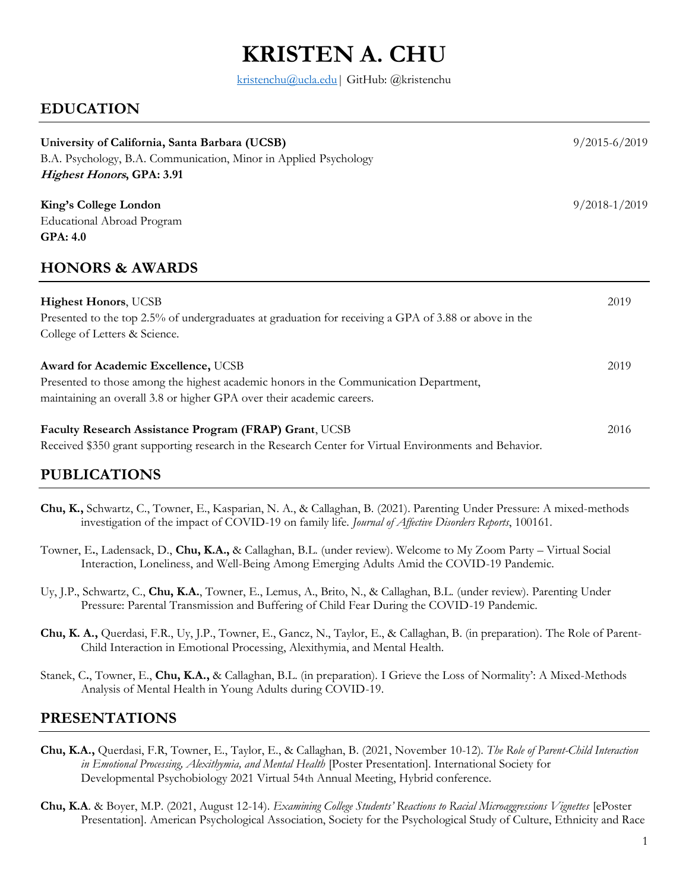# **KRISTEN A. CHU**

kristenchu@ucla.edu | GitHub: @kristenchu

## **EDUCATION**

| University of California, Santa Barbara (UCSB)<br>B.A. Psychology, B.A. Communication, Minor in Applied Psychology<br>Highest Honors, GPA: 3.91 | $9/2015 - 6/2019$ |
|-------------------------------------------------------------------------------------------------------------------------------------------------|-------------------|
| King's College London                                                                                                                           | $9/2018 - 1/2019$ |
| Educational Abroad Program                                                                                                                      |                   |
| <b>GPA: 4.0</b>                                                                                                                                 |                   |
| <b>HONORS &amp; AWARDS</b>                                                                                                                      |                   |
| <b>Highest Honors</b> , UCSB                                                                                                                    | 2019              |
| Presented to the top 2.5% of undergraduates at graduation for receiving a GPA of 3.88 or above in the                                           |                   |
| College of Letters & Science.                                                                                                                   |                   |
| Award for Academic Excellence, UCSB                                                                                                             | 2019              |
| Presented to those among the highest academic honors in the Communication Department,                                                           |                   |
| maintaining an overall 3.8 or higher GPA over their academic careers.                                                                           |                   |
| Faculty Research Assistance Program (FRAP) Grant, UCSB                                                                                          | 2016              |
| Received \$350 grant supporting research in the Research Center for Virtual Environments and Behavior.                                          |                   |

## **PUBLICATIONS**

- **Chu, K.,** Schwartz, C., Towner, E., Kasparian, N. A., & Callaghan, B. (2021). Parenting Under Pressure: A mixed-methods investigation of the impact of COVID-19 on family life. *Journal of Affective Disorders Reports*, 100161.
- Towner, E**.**, Ladensack, D., **Chu, K.A.,** & Callaghan, B.L. (under review). Welcome to My Zoom Party Virtual Social Interaction, Loneliness, and Well-Being Among Emerging Adults Amid the COVID-19 Pandemic.
- Uy, J.P., Schwartz, C., **Chu, K.A.**, Towner, E., Lemus, A., Brito, N., & Callaghan, B.L. (under review). Parenting Under Pressure: Parental Transmission and Buffering of Child Fear During the COVID-19 Pandemic.
- **Chu, K. A.,** Querdasi, F.R., Uy, J.P., Towner, E., Gancz, N., Taylor, E., & Callaghan, B. (in preparation). The Role of Parent-Child Interaction in Emotional Processing, Alexithymia, and Mental Health.
- Stanek, C**.**, Towner, E., **Chu, K.A.,** & Callaghan, B.L. (in preparation). I Grieve the Loss of Normality': A Mixed-Methods Analysis of Mental Health in Young Adults during COVID-19.

## **PRESENTATIONS**

- **Chu, K.A.,** Querdasi, F.R, Towner, E., Taylor, E., & Callaghan, B. (2021, November 10-12). *The Role of Parent-Child Interaction in Emotional Processing, Alexithymia, and Mental Health* [Poster Presentation]. International Society for Developmental Psychobiology 2021 Virtual 54th Annual Meeting, Hybrid conference.
- **Chu, K.A**. & Boyer, M.P. (2021, August 12-14). *Examining College Students' Reactions to Racial Microaggressions Vignettes* [ePoster Presentation]. American Psychological Association, Society for the Psychological Study of Culture, Ethnicity and Race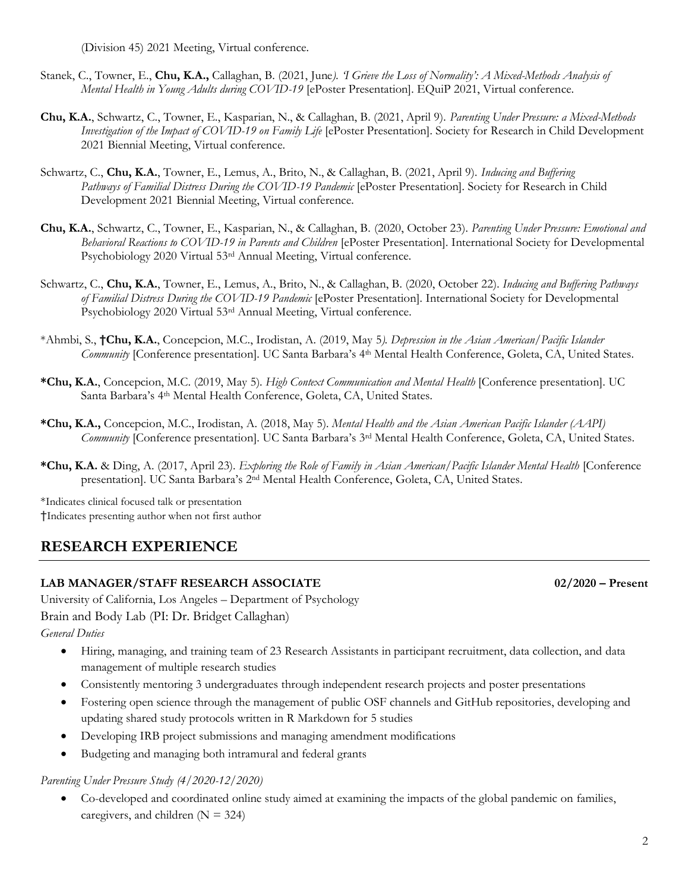(Division 45) 2021 Meeting, Virtual conference.

- Stanek, C., Towner, E., **Chu, K.A.,** Callaghan, B. (2021, June*). 'I Grieve the Loss of Normality': A Mixed-Methods Analysis of Mental Health in Young Adults during COVID-19* [ePoster Presentation]. EQuiP 2021, Virtual conference.
- **Chu, K.A.**, Schwartz, C., Towner, E., Kasparian, N., & Callaghan, B. (2021, April 9). *Parenting Under Pressure: a Mixed-Methods Investigation of the Impact of COVID-19 on Family Life* [ePoster Presentation]. Society for Research in Child Development 2021 Biennial Meeting, Virtual conference.
- Schwartz, C., **Chu, K.A.**, Towner, E., Lemus, A., Brito, N., & Callaghan, B. (2021, April 9). *Inducing and Buffering Pathways of Familial Distress During the COVID-19 Pandemic* [ePoster Presentation]. Society for Research in Child Development 2021 Biennial Meeting, Virtual conference.
- **Chu, K.A.**, Schwartz, C., Towner, E., Kasparian, N., & Callaghan, B. (2020, October 23). *Parenting Under Pressure: Emotional and Behavioral Reactions to COVID-19 in Parents and Children* [ePoster Presentation]. International Society for Developmental Psychobiology 2020 Virtual 53rd Annual Meeting, Virtual conference.
- Schwartz, C., **Chu, K.A.**, Towner, E., Lemus, A., Brito, N., & Callaghan, B. (2020, October 22). *Inducing and Buffering Pathways of Familial Distress During the COVID-19 Pandemic* [ePoster Presentation]. International Society for Developmental Psychobiology 2020 Virtual 53rd Annual Meeting, Virtual conference.
- \*Ahmbi, S., **†Chu, K.A.**, Concepcion, M.C., Irodistan, A. (2019, May 5*). Depression in the Asian American/Pacific Islander Community* [Conference presentation]. UC Santa Barbara's 4th Mental Health Conference, Goleta, CA, United States.
- **\*Chu, K.A.**, Concepcion, M.C. (2019, May 5). *High Context Communication and Mental Health* [Conference presentation]. UC Santa Barbara's 4<sup>th</sup> Mental Health Conference, Goleta, CA, United States.
- **\*Chu, K.A.,** Concepcion, M.C., Irodistan, A. (2018, May 5). *Mental Health and the Asian American Pacific Islander (AAPI) Community* [Conference presentation]. UC Santa Barbara's 3rd Mental Health Conference, Goleta, CA, United States.
- **\*Chu, K.A.** & Ding, A. (2017, April 23). *Exploring the Role of Family in Asian American/Pacific Islander Mental Health* [Conference presentation]. UC Santa Barbara's 2nd Mental Health Conference, Goleta, CA, United States.

\*Indicates clinical focused talk or presentation †Indicates presenting author when not first author

## **RESEARCH EXPERIENCE**

#### **LAB MANAGER/STAFF RESEARCH ASSOCIATE 02/2020 – Present**

University of California, Los Angeles – Department of Psychology Brain and Body Lab (PI: Dr. Bridget Callaghan) *General Duties*

- Hiring, managing, and training team of 23 Research Assistants in participant recruitment, data collection, and data management of multiple research studies
- Consistently mentoring 3 undergraduates through independent research projects and poster presentations
- Fostering open science through the management of public OSF channels and GitHub repositories, developing and updating shared study protocols written in R Markdown for 5 studies
- Developing IRB project submissions and managing amendment modifications
- Budgeting and managing both intramural and federal grants

#### *Parenting Under Pressure Study (4/2020-12/2020)*

• Co-developed and coordinated online study aimed at examining the impacts of the global pandemic on families, caregivers, and children  $(N = 324)$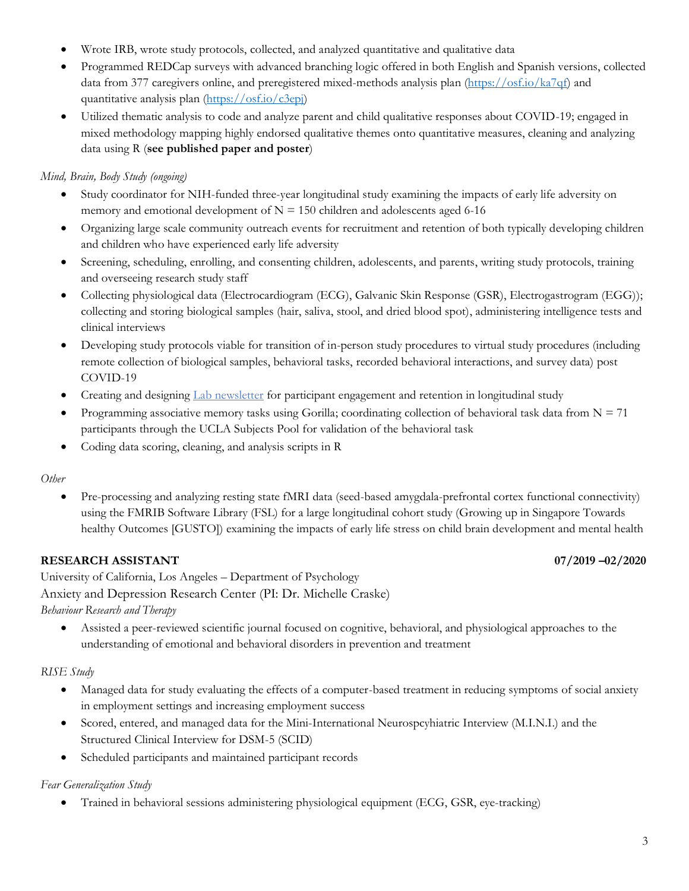- Wrote IRB, wrote study protocols, collected, and analyzed quantitative and qualitative data
- Programmed REDCap surveys with advanced branching logic offered in both English and Spanish versions, collected data from 377 caregivers online, and preregistered mixed-methods analysis plan [\(https://osf.io/ka7qf\)](https://osf.io/ka7qf) and quantitative analysis plan [\(https://osf.io/c3epj\)](https://osf.io/c3epj)
- Utilized thematic analysis to code and analyze parent and child qualitative responses about COVID-19; engaged in mixed methodology mapping highly endorsed qualitative themes onto quantitative measures, cleaning and analyzing data using R (**see published paper and poster**)

### *Mind, Brain, Body Study (ongoing)*

- Study coordinator for NIH-funded three-year longitudinal study examining the impacts of early life adversity on memory and emotional development of  $N = 150$  children and adolescents aged 6-16
- Organizing large scale community outreach events for recruitment and retention of both typically developing children and children who have experienced early life adversity
- Screening, scheduling, enrolling, and consenting children, adolescents, and parents, writing study protocols, training and overseeing research study staff
- Collecting physiological data (Electrocardiogram (ECG), Galvanic Skin Response (GSR), Electrogastrogram (EGG)); collecting and storing biological samples (hair, saliva, stool, and dried blood spot), administering intelligence tests and clinical interviews
- Developing study protocols viable for transition of in-person study procedures to virtual study procedures (including remote collection of biological samples, behavioral tasks, recorded behavioral interactions, and survey data) post COVID-19
- Creating and designing [Lab newsletter](https://brainandbodylab.psych.ucla.edu/newsletter/) for participant engagement and retention in longitudinal study
- Programming associative memory tasks using Gorilla; coordinating collection of behavioral task data from  $N = 71$ participants through the UCLA Subjects Pool for validation of the behavioral task
- Coding data scoring, cleaning, and analysis scripts in R

#### *Other*

• Pre-processing and analyzing resting state fMRI data (seed-based amygdala-prefrontal cortex functional connectivity) using the FMRIB Software Library (FSL) for a large longitudinal cohort study (Growing up in Singapore Towards healthy Outcomes [GUSTO]) examining the impacts of early life stress on child brain development and mental health

### **RESEARCH ASSISTANT 07/2019 –02/2020**

University of California, Los Angeles – Department of Psychology Anxiety and Depression Research Center (PI: Dr. Michelle Craske) *Behaviour Research and Therapy*

• Assisted a peer-reviewed scientific journal focused on cognitive, behavioral, and physiological approaches to the understanding of emotional and behavioral disorders in prevention and treatment

### *RISE Study*

- Managed data for study evaluating the effects of a computer-based treatment in reducing symptoms of social anxiety in employment settings and increasing employment success
- Scored, entered, and managed data for the Mini-International Neurospcyhiatric Interview (M.I.N.I.) and the Structured Clinical Interview for DSM-5 (SCID)
- Scheduled participants and maintained participant records

### *Fear Generalization Study*

• Trained in behavioral sessions administering physiological equipment (ECG, GSR, eye-tracking)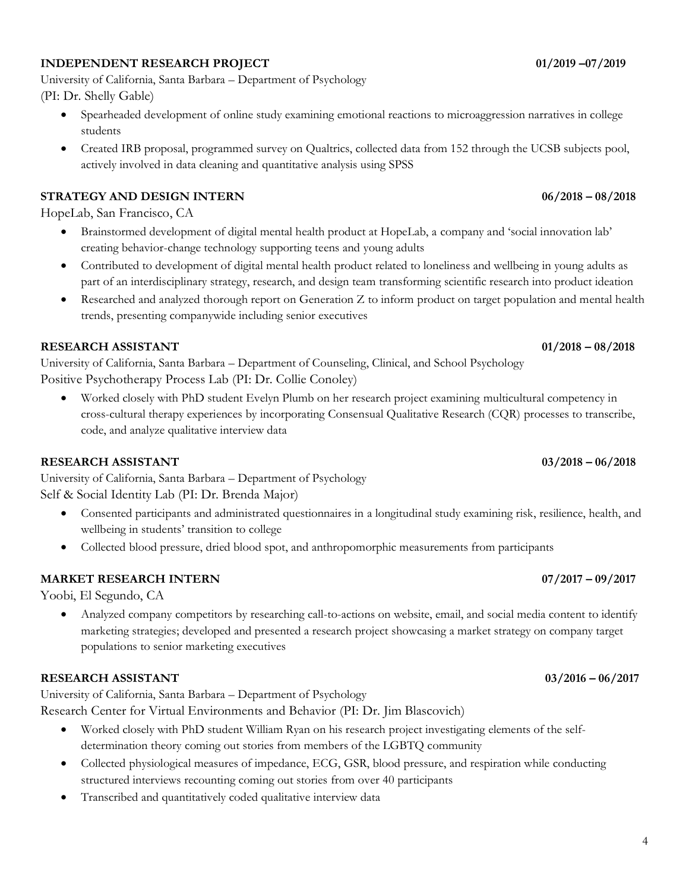### **INDEPENDENT RESEARCH PROJECT 01/2019 –07/2019**

University of California, Santa Barbara – Department of Psychology (PI: Dr. Shelly Gable)

- Spearheaded development of online study examining emotional reactions to microaggression narratives in college students
- Created IRB proposal, programmed survey on Qualtrics, collected data from 152 through the UCSB subjects pool, actively involved in data cleaning and quantitative analysis using SPSS

### **STRATEGY AND DESIGN INTERN 06/2018 – 08/2018**

HopeLab, San Francisco, CA

- Brainstormed development of digital mental health product at HopeLab, a company and 'social innovation lab' creating behavior-change technology supporting teens and young adults
- Contributed to development of digital mental health product related to loneliness and wellbeing in young adults as part of an interdisciplinary strategy, research, and design team transforming scientific research into product ideation
- Researched and analyzed thorough report on Generation Z to inform product on target population and mental health trends, presenting companywide including senior executives

#### **RESEARCH ASSISTANT 01/2018 – 08/2018**

University of California, Santa Barbara – Department of Counseling, Clinical, and School Psychology Positive Psychotherapy Process Lab (PI: Dr. Collie Conoley)

• Worked closely with PhD student Evelyn Plumb on her research project examining multicultural competency in cross-cultural therapy experiences by incorporating Consensual Qualitative Research (CQR) processes to transcribe, code, and analyze qualitative interview data

#### **RESEARCH ASSISTANT 03/2018 – 06/2018**

University of California, Santa Barbara – Department of Psychology Self & Social Identity Lab (PI: Dr. Brenda Major)

- Consented participants and administrated questionnaires in a longitudinal study examining risk, resilience, health, and wellbeing in students' transition to college
- Collected blood pressure, dried blood spot, and anthropomorphic measurements from participants

#### **MARKET RESEARCH INTERN 07/2017 – 09/2017**

Yoobi, El Segundo, CA

• Analyzed company competitors by researching call-to-actions on website, email, and social media content to identify marketing strategies; developed and presented a research project showcasing a market strategy on company target populations to senior marketing executives

#### **RESEARCH ASSISTANT 03/2016 – 06/2017**

University of California, Santa Barbara – Department of Psychology

Research Center for Virtual Environments and Behavior (PI: Dr. Jim Blascovich)

- Worked closely with PhD student William Ryan on his research project investigating elements of the selfdetermination theory coming out stories from members of the LGBTQ community
- Collected physiological measures of impedance, ECG, GSR, blood pressure, and respiration while conducting structured interviews recounting coming out stories from over 40 participants
- Transcribed and quantitatively coded qualitative interview data